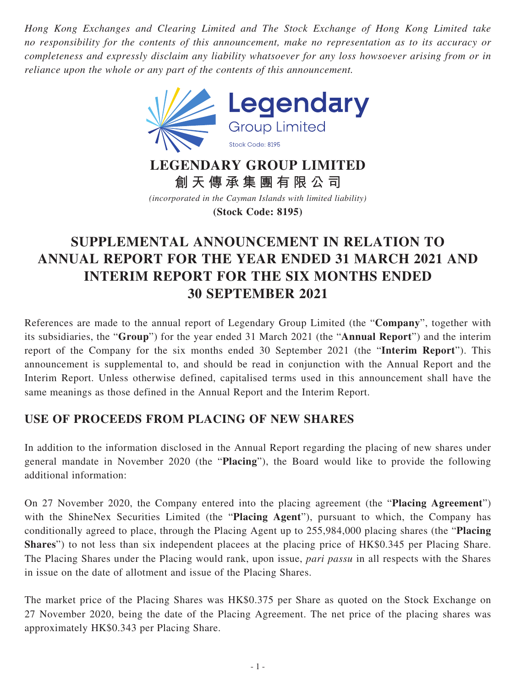*Hong Kong Exchanges and Clearing Limited and The Stock Exchange of Hong Kong Limited take no responsibility for the contents of this announcement, make no representation as to its accuracy or completeness and expressly disclaim any liability whatsoever for any loss howsoever arising from or in reliance upon the whole or any part of the contents of this announcement.*



**LEGENDARY GROUP LIMITED 創天傳承集團有限公司**

*(incorporated in the Cayman Islands with limited liability)* **(Stock Code: 8195)**

# **SUPPLEMENTAL ANNOUNCEMENT IN RELATION TO ANNUAL REPORT FOR THE YEAR ENDED 31 MARCH 2021 AND INTERIM REPORT FOR THE SIX MONTHS ENDED 30 SEPTEMBER 2021**

References are made to the annual report of Legendary Group Limited (the "**Company**", together with its subsidiaries, the "**Group**") for the year ended 31 March 2021 (the "**Annual Report**") and the interim report of the Company for the six months ended 30 September 2021 (the "**Interim Report**"). This announcement is supplemental to, and should be read in conjunction with the Annual Report and the Interim Report. Unless otherwise defined, capitalised terms used in this announcement shall have the same meanings as those defined in the Annual Report and the Interim Report.

## **USE OF PROCEEDS FROM PLACING OF NEW SHARES**

In addition to the information disclosed in the Annual Report regarding the placing of new shares under general mandate in November 2020 (the "**Placing**"), the Board would like to provide the following additional information:

On 27 November 2020, the Company entered into the placing agreement (the "**Placing Agreement**") with the ShineNex Securities Limited (the "**Placing Agent**"), pursuant to which, the Company has conditionally agreed to place, through the Placing Agent up to 255,984,000 placing shares (the "**Placing Shares**") to not less than six independent placees at the placing price of HK\$0.345 per Placing Share. The Placing Shares under the Placing would rank, upon issue, *pari passu* in all respects with the Shares in issue on the date of allotment and issue of the Placing Shares.

The market price of the Placing Shares was HK\$0.375 per Share as quoted on the Stock Exchange on 27 November 2020, being the date of the Placing Agreement. The net price of the placing shares was approximately HK\$0.343 per Placing Share.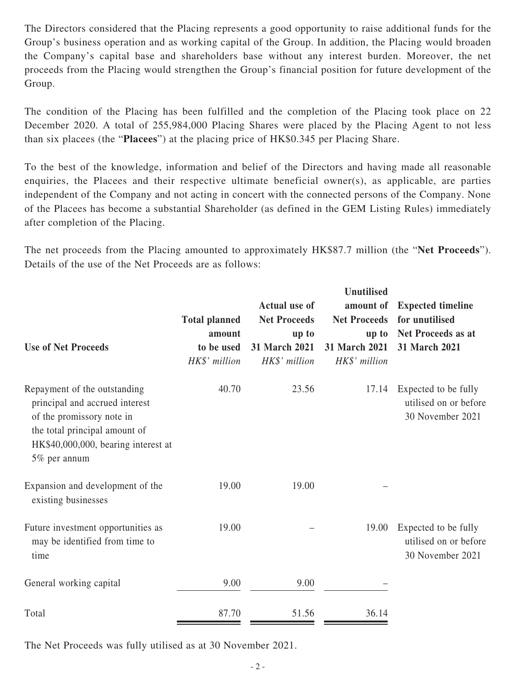The Directors considered that the Placing represents a good opportunity to raise additional funds for the Group's business operation and as working capital of the Group. In addition, the Placing would broaden the Company's capital base and shareholders base without any interest burden. Moreover, the net proceeds from the Placing would strengthen the Group's financial position for future development of the Group.

The condition of the Placing has been fulfilled and the completion of the Placing took place on 22 December 2020. A total of 255,984,000 Placing Shares were placed by the Placing Agent to not less than six placees (the "**Placees**") at the placing price of HK\$0.345 per Placing Share.

To the best of the knowledge, information and belief of the Directors and having made all reasonable enquiries, the Placees and their respective ultimate beneficial owner(s), as applicable, are parties independent of the Company and not acting in concert with the connected persons of the Company. None of the Placees has become a substantial Shareholder (as defined in the GEM Listing Rules) immediately after completion of the Placing.

The net proceeds from the Placing amounted to approximately HK\$87.7 million (the "**Net Proceeds**"). Details of the use of the Net Proceeds are as follows:

| <b>Use of Net Proceeds</b>                                                                                                                                                          | <b>Total planned</b><br>amount<br>to be used<br>HK\$' million | <b>Actual use of</b><br><b>Net Proceeds</b><br>up to<br>31 March 2021<br>HK\$' million | <b>Unutilised</b><br>amount of<br><b>Net Proceeds</b><br>up to<br><b>31 March 2021</b><br>HK\$' million | <b>Expected timeline</b><br>for unutilised<br>Net Proceeds as at<br>31 March 2021 |
|-------------------------------------------------------------------------------------------------------------------------------------------------------------------------------------|---------------------------------------------------------------|----------------------------------------------------------------------------------------|---------------------------------------------------------------------------------------------------------|-----------------------------------------------------------------------------------|
| Repayment of the outstanding<br>principal and accrued interest<br>of the promissory note in<br>the total principal amount of<br>HK\$40,000,000, bearing interest at<br>5% per annum | 40.70                                                         | 23.56                                                                                  | 17.14                                                                                                   | Expected to be fully<br>utilised on or before<br>30 November 2021                 |
| Expansion and development of the<br>existing businesses                                                                                                                             | 19.00                                                         | 19.00                                                                                  |                                                                                                         |                                                                                   |
| Future investment opportunities as<br>may be identified from time to<br>time                                                                                                        | 19.00                                                         |                                                                                        | 19.00                                                                                                   | Expected to be fully<br>utilised on or before<br>30 November 2021                 |
| General working capital                                                                                                                                                             | 9.00                                                          | 9.00                                                                                   |                                                                                                         |                                                                                   |
| Total                                                                                                                                                                               | 87.70                                                         | 51.56                                                                                  | 36.14                                                                                                   |                                                                                   |

The Net Proceeds was fully utilised as at 30 November 2021.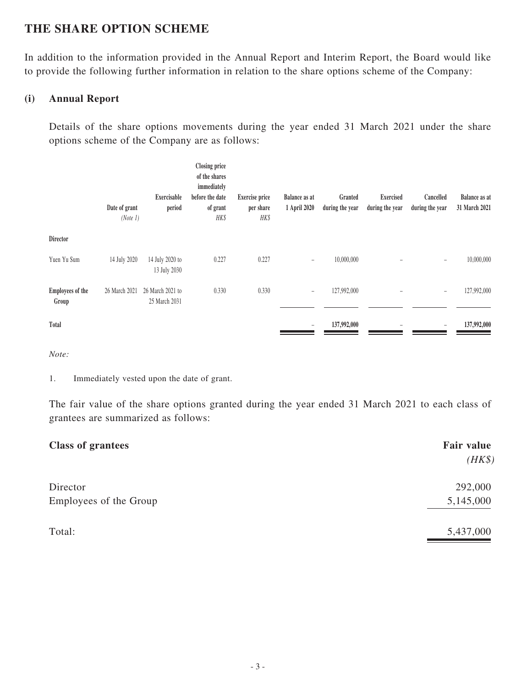## **THE SHARE OPTION SCHEME**

In addition to the information provided in the Annual Report and Interim Report, the Board would like to provide the following further information in relation to the share options scheme of the Company:

#### **(i) Annual Report**

Details of the share options movements during the year ended 31 March 2021 under the share options scheme of the Company are as follows:

|                                  | Date of grant<br>(Note 1) | Exercisable<br>period             | <b>Closing price</b><br>of the shares<br>immediately<br>before the date<br>of grant<br>HK\$ | <b>Exercise price</b><br>per share<br>HK\$ | <b>Balance as at</b><br>1 April 2020 | Granted<br>during the year | <b>Exercised</b><br>during the year | Cancelled<br>during the year | <b>Balance as at</b><br>31 March 2021 |
|----------------------------------|---------------------------|-----------------------------------|---------------------------------------------------------------------------------------------|--------------------------------------------|--------------------------------------|----------------------------|-------------------------------------|------------------------------|---------------------------------------|
| Director                         |                           |                                   |                                                                                             |                                            |                                      |                            |                                     |                              |                                       |
| Yuen Yu Sum                      | 14 July 2020              | 14 July 2020 to<br>13 July 2030   | 0.227                                                                                       | 0.227                                      | $\overline{\phantom{a}}$             | 10,000,000                 |                                     | -                            | 10,000,000                            |
| <b>Employees of the</b><br>Group | 26 March 2021             | 26 March 2021 to<br>25 March 2031 | 0.330                                                                                       | 0.330                                      | $\overline{\phantom{a}}$             | 127,992,000                |                                     |                              | 127,992,000                           |
| Total                            |                           |                                   |                                                                                             |                                            | $\overline{\phantom{m}}$             | 137,992,000                |                                     |                              | 137,992,000                           |

*Note:*

1. Immediately vested upon the date of grant.

The fair value of the share options granted during the year ended 31 March 2021 to each class of grantees are summarized as follows:

| <b>Class of grantees</b> | <b>Fair value</b> |
|--------------------------|-------------------|
|                          | $(HK\$            |
| Director                 | 292,000           |
| Employees of the Group   | 5,145,000         |
| Total:                   | 5,437,000         |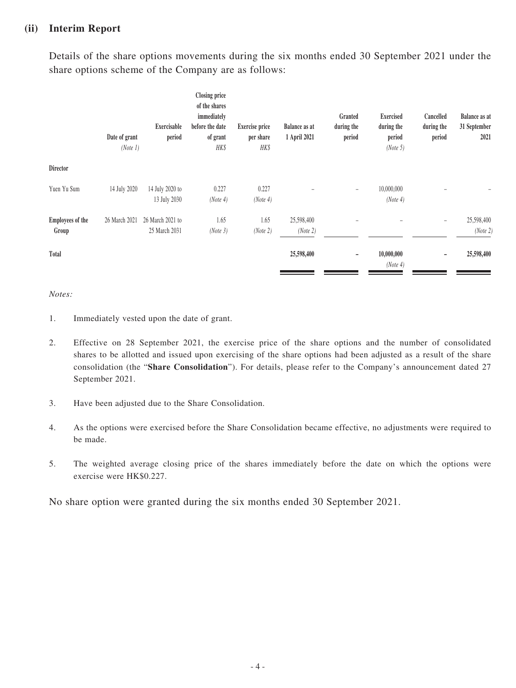#### **(ii) Interim Report**

Details of the share options movements during the six months ended 30 September 2021 under the share options scheme of the Company are as follows:

|                           | Date of grant<br>(Note 1) | Exercisable<br>period             | <b>Closing price</b><br>of the shares<br>immediately<br>before the date<br>of grant<br>HK\$ | <b>Exercise price</b><br>per share<br>HK\$ | <b>Balance as at</b><br>1 April 2021 | Granted<br>during the<br>period | <b>Exercised</b><br>during the<br>period<br>(Note 5) | Cancelled<br>during the<br>period | <b>Balance as at</b><br>31 September<br>2021 |
|---------------------------|---------------------------|-----------------------------------|---------------------------------------------------------------------------------------------|--------------------------------------------|--------------------------------------|---------------------------------|------------------------------------------------------|-----------------------------------|----------------------------------------------|
| Director                  |                           |                                   |                                                                                             |                                            |                                      |                                 |                                                      |                                   |                                              |
| Yuen Yu Sum               | 14 July 2020              | 14 July 2020 to<br>13 July 2030   | 0.227<br>(Note 4)                                                                           | 0.227<br>(Note 4)                          |                                      | $\overline{\phantom{a}}$        | 10,000,000<br>(Note 4)                               |                                   |                                              |
| Employees of the<br>Group | 26 March 2021             | 26 March 2021 to<br>25 March 2031 | 1.65<br>(Note 3)                                                                            | 1.65<br>(Note 2)                           | 25,598,400<br>(Note 2)               |                                 |                                                      |                                   | 25,598,400<br>(Note 2)                       |
| Total                     |                           |                                   |                                                                                             |                                            | 25,598,400                           | -                               | 10,000,000<br>(Note 4)                               |                                   | 25,598,400                                   |

*Notes:*

- 1. Immediately vested upon the date of grant.
- 2. Effective on 28 September 2021, the exercise price of the share options and the number of consolidated shares to be allotted and issued upon exercising of the share options had been adjusted as a result of the share consolidation (the "**Share Consolidation**"). For details, please refer to the Company's announcement dated 27 September 2021.
- 3. Have been adjusted due to the Share Consolidation.
- 4. As the options were exercised before the Share Consolidation became effective, no adjustments were required to be made.
- 5. The weighted average closing price of the shares immediately before the date on which the options were exercise were HK\$0.227.

No share option were granted during the six months ended 30 September 2021.